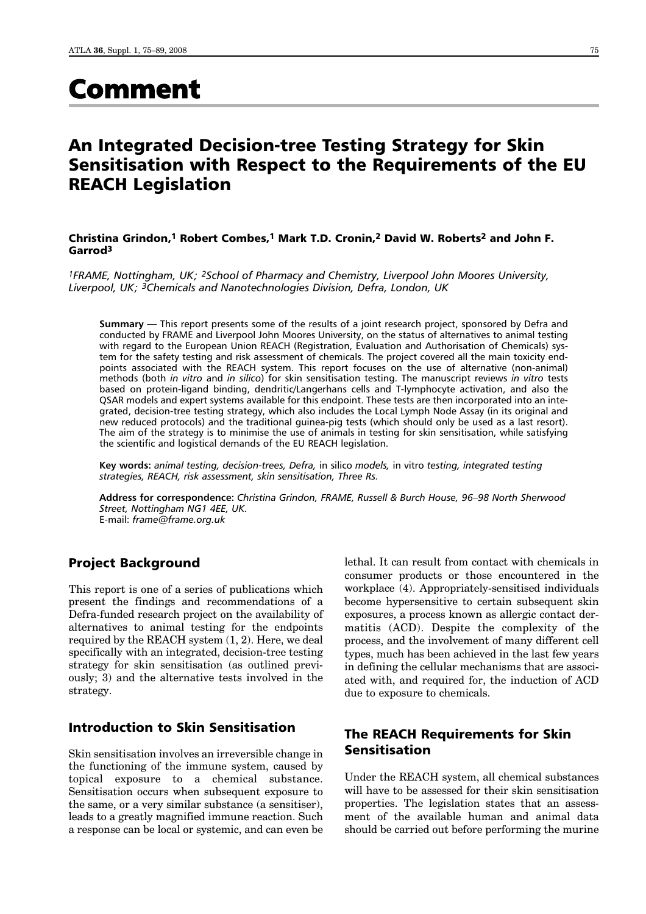# Comment

# An Integrated Decision-tree Testing Strategy for Skin Sensitisation with Respect to the Requirements of the EU REACH Legislation

#### Christina Grindon,1 Robert Combes,1 Mark T.D. Cronin,2 David W. Roberts2 and John F. Garrod3

*1FRAME, Nottingham, UK; 2School of Pharmacy and Chemistry, Liverpool John Moores University, Liverpool, UK; 3Chemicals and Nanotechnologies Division, Defra, London, UK*

**Summary** — This report presents some of the results of a joint research project, sponsored by Defra and conducted by FRAME and Liverpool John Moores University, on the status of alternatives to animal testing with regard to the European Union REACH (Registration, Evaluation and Authorisation of Chemicals) system for the safety testing and risk assessment of chemicals. The project covered all the main toxicity endpoints associated with the REACH system. This report focuses on the use of alternative (non-animal) methods (both *in vitro* and *in silico*) for skin sensitisation testing. The manuscript reviews *in vitro* tests based on protein-ligand binding, dendritic/Langerhans cells and T-lymphocyte activation, and also the QSAR models and expert systems available for this endpoint. These tests are then incorporated into an integrated, decision-tree testing strategy, which also includes the Local Lymph Node Assay (in its original and new reduced protocols) and the traditional guinea-pig tests (which should only be used as a last resort). The aim of the strategy is to minimise the use of animals in testing for skin sensitisation, while satisfying the scientific and logistical demands of the EU REACH legislation.

**Key words:** *animal testing, decision-trees, Defra,* in silico *models,* in vitro *testing, integrated testing strategies, REACH, risk assessment, skin sensitisation, Three Rs.*

**Address for correspondence:** *Christina Grindon, FRAME, Russell & Burch House, 96–98 North Sherwood Street, Nottingham NG1 4EE, UK.* E-mail: *frame@frame.org.uk*

# Project Background

This report is one of a series of publications which present the findings and recommendations of a Defra-funded research project on the availability of alternatives to animal testing for the endpoints required by the REACH system (1, 2). Here, we deal specifically with an integrated, decision-tree testing strategy for skin sensitisation (as outlined previously; 3) and the alternative tests involved in the strategy.

# Introduction to Skin Sensitisation

Skin sensitisation involves an irreversible change in the functioning of the immune system, caused by topical exposure to a chemical substance. Sensitisation occurs when subsequent exposure to the same, or a very similar substance (a sensitiser), leads to a greatly magnified immune reaction. Such a response can be local or systemic, and can even be lethal. It can result from contact with chemicals in consumer products or those encountered in the workplace (4). Appropriately-sensitised individuals become hypersensitive to certain subsequent skin exposures, a process known as allergic contact dermatitis (ACD). Despite the complexity of the process, and the involvement of many different cell types, much has been achieved in the last few years in defining the cellular mechanisms that are associated with, and required for, the induction of ACD due to exposure to chemicals.

# The REACH Requirements for Skin Sensitisation

Under the REACH system, all chemical substances will have to be assessed for their skin sensitisation properties. The legislation states that an assessment of the available human and animal data should be carried out before performing the murine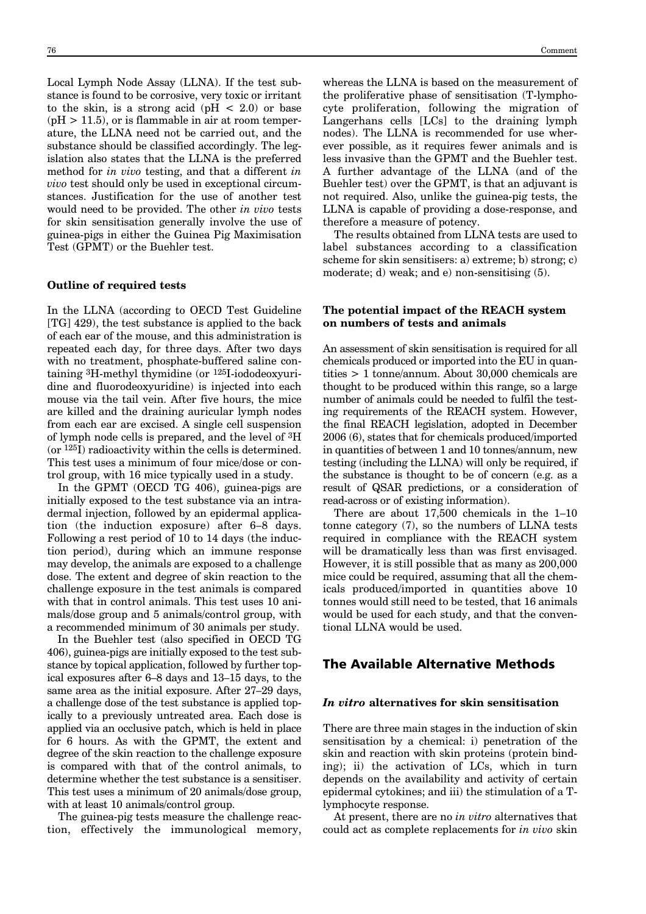Local Lymph Node Assay (LLNA). If the test substance is found to be corrosive, very toxic or irritant to the skin, is a strong acid ( $pH < 2.0$ ) or base  $(pH > 11.5)$ , or is flammable in air at room temperature, the LLNA need not be carried out, and the substance should be classified accordingly. The legislation also states that the LLNA is the preferred method for *in vivo* testing, and that a different *in vivo* test should only be used in exceptional circumstances. Justification for the use of another test would need to be provided. The other *in vivo* tests for skin sensitisation generally involve the use of guinea-pigs in either the Guinea Pig Maximisation Test (GPMT) or the Buehler test.

#### **Outline of required tests**

In the LLNA (according to OECD Test Guideline [TG] 429), the test substance is applied to the back of each ear of the mouse, and this administration is repeated each day, for three days. After two days with no treatment, phosphate-buffered saline containing 3H-methyl thymidine (or 125I-iododeoxyuridine and fluorodeoxyuridine) is injected into each mouse via the tail vein. After five hours, the mice are killed and the draining auricular lymph nodes from each ear are excised. A single cell suspension of lymph node cells is prepared, and the level of 3H (or 125I) radioactivity within the cells is determined. This test uses a minimum of four mice/dose or control group, with 16 mice typically used in a study.

In the GPMT (OECD TG 406), guinea-pigs are initially exposed to the test substance via an intradermal injection, followed by an epidermal application (the induction exposure) after 6–8 days. Following a rest period of 10 to 14 days (the induction period), during which an immune response may develop, the animals are exposed to a challenge dose. The extent and degree of skin reaction to the challenge exposure in the test animals is compared with that in control animals. This test uses 10 animals/dose group and 5 animals/control group, with a recommended minimum of 30 animals per study.

In the Buehler test (also specified in OECD TG 406), guinea-pigs are initially exposed to the test substance by topical application, followed by further topical exposures after 6–8 days and 13–15 days, to the same area as the initial exposure. After 27–29 days, a challenge dose of the test substance is applied topically to a previously untreated area. Each dose is applied via an occlusive patch, which is held in place for 6 hours. As with the GPMT, the extent and degree of the skin reaction to the challenge exposure is compared with that of the control animals, to determine whether the test substance is a sensitiser. This test uses a minimum of 20 animals/dose group, with at least 10 animals/control group.

The guinea-pig tests measure the challenge reaction, effectively the immunological memory, whereas the LLNA is based on the measurement of the proliferative phase of sensitisation (T-lymphocyte proliferation, following the migration of Langerhans cells [LCs] to the draining lymph nodes). The LLNA is recommended for use wherever possible, as it requires fewer animals and is less invasive than the GPMT and the Buehler test. A further advantage of the LLNA (and of the Buehler test) over the GPMT, is that an adjuvant is not required. Also, unlike the guinea-pig tests, the LLNA is capable of providing a dose-response, and therefore a measure of potency.

The results obtained from LLNA tests are used to label substances according to a classification scheme for skin sensitisers: a) extreme; b) strong; c) moderate; d) weak; and e) non-sensitising (5).

#### **The potential impact of the REACH system on numbers of tests and animals**

An assessment of skin sensitisation is required for all chemicals produced or imported into the EU in quantities > 1 tonne/annum. About 30,000 chemicals are thought to be produced within this range, so a large number of animals could be needed to fulfil the testing requirements of the REACH system. However, the final REACH legislation, adopted in December 2006 (6), states that for chemicals produced/imported in quantities of between 1 and 10 tonnes/annum, new testing (including the LLNA) will only be required, if the substance is thought to be of concern (e.g. as a result of QSAR predictions, or a consideration of read-across or of existing information).

There are about 17,500 chemicals in the 1–10 tonne category (7), so the numbers of LLNA tests required in compliance with the REACH system will be dramatically less than was first envisaged. However, it is still possible that as many as 200,000 mice could be required, assuming that all the chemicals produced/imported in quantities above 10 tonnes would still need to be tested, that 16 animals would be used for each study, and that the conventional LLNA would be used.

### The Available Alternative Methods

#### *In vitro* **alternatives for skin sensitisation**

There are three main stages in the induction of skin sensitisation by a chemical: i) penetration of the skin and reaction with skin proteins (protein binding); ii) the activation of LCs, which in turn depends on the availability and activity of certain epidermal cytokines; and iii) the stimulation of a Tlymphocyte response.

At present, there are no *in vitro* alternatives that could act as complete replacements for *in vivo* skin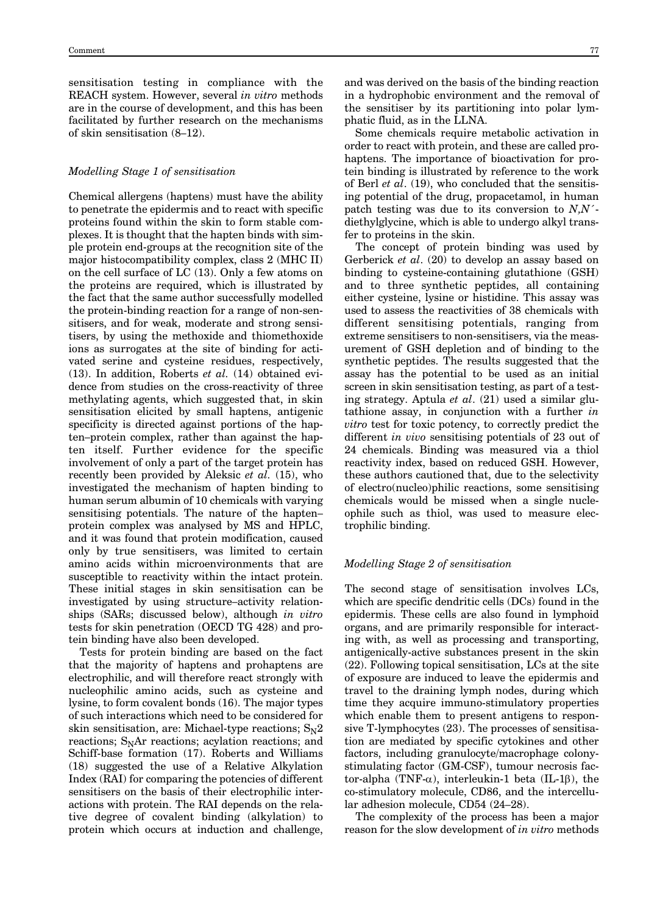sensitisation testing in compliance with the REACH system. However, several *in vitro* methods are in the course of development, and this has been facilitated by further research on the mechanisms of skin sensitisation (8–12).

#### *Modelling Stage 1 of sensitisation*

Chemical allergens (haptens) must have the ability to penetrate the epidermis and to react with specific proteins found within the skin to form stable complexes. It is thought that the hapten binds with simple protein end-groups at the recognition site of the major histocompatibility complex, class 2 (MHC II) on the cell surface of LC (13). Only a few atoms on the proteins are required, which is illustrated by the fact that the same author successfully modelled the protein-binding reaction for a range of non-sensitisers, and for weak, moderate and strong sensitisers, by using the methoxide and thiomethoxide ions as surrogates at the site of binding for activated serine and cysteine residues, respectively, (13). In addition, Roberts *et al.* (14) obtained evidence from studies on the cross-reactivity of three methylating agents, which suggested that, in skin sensitisation elicited by small haptens, antigenic specificity is directed against portions of the hapten–protein complex, rather than against the hapten itself. Further evidence for the specific involvement of only a part of the target protein has recently been provided by Aleksic *et al.* (15), who investigated the mechanism of hapten binding to human serum albumin of 10 chemicals with varying sensitising potentials. The nature of the hapten– protein complex was analysed by MS and HPLC, and it was found that protein modification, caused only by true sensitisers, was limited to certain amino acids within microenvironments that are susceptible to reactivity within the intact protein. These initial stages in skin sensitisation can be investigated by using structure–activity relationships (SARs; discussed below), although *in vitro* tests for skin penetration (OECD TG 428) and protein binding have also been developed.

Tests for protein binding are based on the fact that the majority of haptens and prohaptens are electrophilic, and will therefore react strongly with nucleophilic amino acids, such as cysteine and lysine, to form covalent bonds (16). The major types of such interactions which need to be considered for skin sensitisation, are: Michael-type reactions;  $S_N2$ reactions;  $S<sub>N</sub>Ar$  reactions; acylation reactions; and Schiff-base formation (17). Roberts and Williams (18) suggested the use of a Relative Alkylation Index (RAI) for comparing the potencies of different sensitisers on the basis of their electrophilic interactions with protein. The RAI depends on the relative degree of covalent binding (alkylation) to protein which occurs at induction and challenge,

and was derived on the basis of the binding reaction in a hydrophobic environment and the removal of the sensitiser by its partitioning into polar lymphatic fluid, as in the LLNA.

Some chemicals require metabolic activation in order to react with protein, and these are called prohaptens. The importance of bioactivation for protein binding is illustrated by reference to the work of Berl *et al*. (19), who concluded that the sensitising potential of the drug, propacetamol, in human patch testing was due to its conversion to *N,N*´ diethylglycine, which is able to undergo alkyl transfer to proteins in the skin.

The concept of protein binding was used by Gerberick *et al*. (20) to develop an assay based on binding to cysteine-containing glutathione (GSH) and to three synthetic peptides, all containing either cysteine, lysine or histidine. This assay was used to assess the reactivities of 38 chemicals with different sensitising potentials, ranging from extreme sensitisers to non-sensitisers, via the measurement of GSH depletion and of binding to the synthetic peptides. The results suggested that the assay has the potential to be used as an initial screen in skin sensitisation testing, as part of a testing strategy. Aptula *et al*. (21) used a similar glutathione assay, in conjunction with a further *in vitro* test for toxic potency, to correctly predict the different *in vivo* sensitising potentials of 23 out of 24 chemicals. Binding was measured via a thiol reactivity index, based on reduced GSH. However, these authors cautioned that, due to the selectivity of electro(nucleo)philic reactions, some sensitising chemicals would be missed when a single nucleophile such as thiol, was used to measure electrophilic binding.

#### *Modelling Stage 2 of sensitisation*

The second stage of sensitisation involves LCs, which are specific dendritic cells (DCs) found in the epidermis. These cells are also found in lymphoid organs, and are primarily responsible for interacting with, as well as processing and transporting, antigenically-active substances present in the skin (22). Following topical sensitisation, LCs at the site of exposure are induced to leave the epidermis and travel to the draining lymph nodes, during which time they acquire immuno-stimulatory properties which enable them to present antigens to responsive T-lymphocytes (23). The processes of sensitisation are mediated by specific cytokines and other factors, including granulocyte/macrophage colonystimulating factor (GM-CSF), tumour necrosis factor-alpha (TNF-α), interleukin-1 beta (IL-1β), the co-stimulatory molecule, CD86, and the intercellular adhesion molecule, CD54 (24–28).

The complexity of the process has been a major reason for the slow development of *in vitro* methods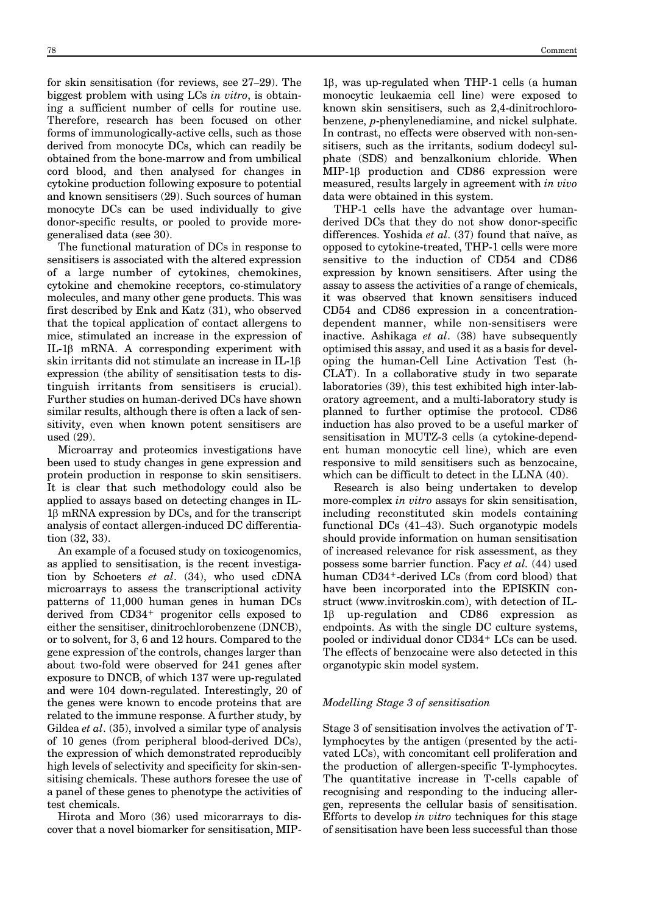for skin sensitisation (for reviews, see 27–29). The biggest problem with using LCs *in vitro*, is obtaining a sufficient number of cells for routine use. Therefore, research has been focused on other forms of immunologically-active cells, such as those derived from monocyte DCs, which can readily be obtained from the bone-marrow and from umbilical cord blood, and then analysed for changes in cytokine production following exposure to potential and known sensitisers (29). Such sources of human monocyte DCs can be used individually to give donor-specific results, or pooled to provide moregeneralised data (see 30).

The functional maturation of DCs in response to sensitisers is associated with the altered expression of a large number of cytokines, chemokines, cytokine and chemokine receptors, co-stimulatory molecules, and many other gene products. This was first described by Enk and Katz (31), who observed that the topical application of contact allergens to mice, stimulated an increase in the expression of IL-1β mRNA. A corresponding experiment with skin irritants did not stimulate an increase in IL-1β expression (the ability of sensitisation tests to distinguish irritants from sensitisers is crucial). Further studies on human-derived DCs have shown similar results, although there is often a lack of sensitivity, even when known potent sensitisers are used (29).

Microarray and proteomics investigations have been used to study changes in gene expression and protein production in response to skin sensitisers. It is clear that such methodology could also be applied to assays based on detecting changes in IL-1β mRNA expression by DCs, and for the transcript analysis of contact allergen-induced DC differentiation (32, 33).

An example of a focused study on toxicogenomics, as applied to sensitisation, is the recent investigation by Schoeters *et al*. (34), who used cDNA microarrays to assess the transcriptional activity patterns of 11,000 human genes in human DCs derived from CD34+ progenitor cells exposed to either the sensitiser, dinitrochlorobenzene (DNCB), or to solvent, for 3, 6 and 12 hours. Compared to the gene expression of the controls, changes larger than about two-fold were observed for 241 genes after exposure to DNCB, of which 137 were up-regulated and were 104 down-regulated. Interestingly, 20 of the genes were known to encode proteins that are related to the immune response. A further study, by Gildea *et al*. (35), involved a similar type of analysis of 10 genes (from peripheral blood-derived DCs), the expression of which demonstrated reproducibly high levels of selectivity and specificity for skin-sensitising chemicals. These authors foresee the use of a panel of these genes to phenotype the activities of test chemicals.

Hirota and Moro (36) used micorarrays to discover that a novel biomarker for sensitisation, MIP- 1β, was up-regulated when THP-1 cells (a human monocytic leukaemia cell line) were exposed to known skin sensitisers, such as 2,4-dinitrochlorobenzene, *p*-phenylenediamine, and nickel sulphate. In contrast, no effects were observed with non-sensitisers, such as the irritants, sodium dodecyl sulphate (SDS) and benzalkonium chloride. When MIP-1β production and CD86 expression were measured, results largely in agreement with *in vivo* data were obtained in this system.

THP-1 cells have the advantage over humanderived DCs that they do not show donor-specific differences. Yoshida *et al*. (37) found that naïve, as opposed to cytokine-treated, THP-1 cells were more sensitive to the induction of CD54 and CD86 expression by known sensitisers. After using the assay to assess the activities of a range of chemicals, it was observed that known sensitisers induced CD54 and CD86 expression in a concentrationdependent manner, while non-sensitisers were inactive. Ashikaga *et al*. (38) have subsequently optimised this assay, and used it as a basis for developing the human-Cell Line Activation Test (h-CLAT). In a collaborative study in two separate laboratories (39), this test exhibited high inter-laboratory agreement, and a multi-laboratory study is planned to further optimise the protocol. CD86 induction has also proved to be a useful marker of sensitisation in MUTZ-3 cells (a cytokine-dependent human monocytic cell line), which are even responsive to mild sensitisers such as benzocaine, which can be difficult to detect in the LLNA (40).

Research is also being undertaken to develop more-complex *in vitro* assays for skin sensitisation, including reconstituted skin models containing functional DCs (41–43). Such organotypic models should provide information on human sensitisation of increased relevance for risk assessment, as they possess some barrier function. Facy *et al.* (44) used human CD34+-derived LCs (from cord blood) that have been incorporated into the EPISKIN construct (www.invitroskin.com), with detection of IL-1β up-regulation and CD86 expression as endpoints. As with the single DC culture systems, pooled or individual donor CD34+ LCs can be used. The effects of benzocaine were also detected in this organotypic skin model system.

#### *Modelling Stage 3 of sensitisation*

Stage 3 of sensitisation involves the activation of Tlymphocytes by the antigen (presented by the activated LCs), with concomitant cell proliferation and the production of allergen-specific T-lymphocytes. The quantitative increase in T-cells capable of recognising and responding to the inducing allergen, represents the cellular basis of sensitisation. Efforts to develop *in vitro* techniques for this stage of sensitisation have been less successful than those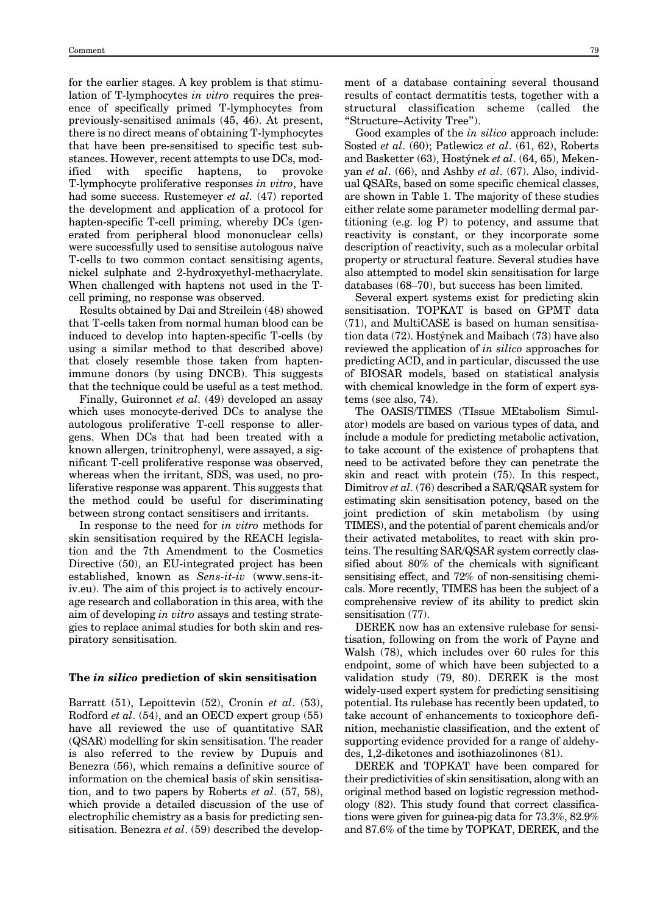for the earlier stages. A key problem is that stimulation of T-lymphocytes *in vitro* requires the presence of specifically primed T-lymphocytes from previously-sensitised animals (45, 46). At present, there is no direct means of obtaining T-lymphocytes that have been pre-sensitised to specific test substances. However, recent attempts to use DCs, modified with specific haptens, to provoke T-lymphocyte proliferative responses *in vitro*, have had some success. Rustemeyer *et al.* (47) reported the development and application of a protocol for hapten-specific T-cell priming, whereby DCs (generated from peripheral blood mononuclear cells) were successfully used to sensitise autologous naïve T-cells to two common contact sensitising agents, nickel sulphate and 2-hydroxyethyl-methacrylate. When challenged with haptens not used in the Tcell priming, no response was observed.

Results obtained by Dai and Streilein (48) showed that T-cells taken from normal human blood can be induced to develop into hapten-specific T-cells (by using a similar method to that described above) that closely resemble those taken from haptenimmune donors (by using DNCB). This suggests that the technique could be useful as a test method.

Finally, Guironnet *et al.* (49) developed an assay which uses monocyte-derived DCs to analyse the autologous proliferative T-cell response to allergens. When DCs that had been treated with a known allergen, trinitrophenyl, were assayed, a significant T-cell proliferative response was observed, whereas when the irritant, SDS, was used, no proliferative response was apparent. This suggests that the method could be useful for discriminating between strong contact sensitisers and irritants.

In response to the need for *in vitro* methods for skin sensitisation required by the REACH legislation and the 7th Amendment to the Cosmetics Directive (50), an EU-integrated project has been established, known as *Sens-it-iv* (www.sens-itiv.eu). The aim of this project is to actively encourage research and collaboration in this area, with the aim of developing *in vitro* assays and testing strategies to replace animal studies for both skin and respiratory sensitisation.

#### **The** *in silico* **prediction of skin sensitisation**

Barratt (51), Lepoittevin (52), Cronin *et al*. (53), Rodford *et al*. (54), and an OECD expert group (55) have all reviewed the use of quantitative SAR (QSAR) modelling for skin sensitisation. The reader is also referred to the review by Dupuis and Benezra (56), which remains a definitive source of information on the chemical basis of skin sensitisation, and to two papers by Roberts *et al*. (57, 58), which provide a detailed discussion of the use of electrophilic chemistry as a basis for predicting sensitisation. Benezra *et al*. (59) described the development of a database containing several thousand results of contact dermatitis tests, together with a structural classification scheme (called the "Structure–Activity Tree").

Good examples of the *in silico* approach include: Sosted *et al*. (60); Patlewicz *et al*. (61, 62), Roberts and Basketter (63), Hostýnek *et al*. (64, 65), Meken yan *et al*. (66), and Ashby *et al*. (67). Also, individual QSARs, based on some specific chemical classes, are shown in Table 1. The majority of these studies either relate some parameter modelling dermal partitioning (e.g. log P) to potency, and assume that reactivity is constant, or they incorporate some description of reactivity, such as a molecular orbital property or structural feature. Several studies have also attempted to model skin sensitisation for large databases (68–70), but success has been limited.

Several expert systems exist for predicting skin sensitisation. TOPKAT is based on GPMT data (71), and MultiCASE is based on human sensitisation data (72). Hostýnek and Maibach (73) have also reviewed the application of *in silico* approaches for predicting ACD, and in particular, discussed the use of BIOSAR models, based on statistical analysis with chemical knowledge in the form of expert systems (see also, 74).

The OASIS/TIMES (TIssue MEtabolism Simulator) models are based on various types of data, and include a module for predicting metabolic activation, to take account of the existence of prohaptens that need to be activated before they can penetrate the skin and react with protein (75). In this respect, Dimitrov *et al*. (76) described a SAR/QSAR system for estimating skin sensitisation potency, based on the joint prediction of skin metabolism (by using TIMES), and the potential of parent chemicals and/or their activated metabolites, to react with skin proteins. The resulting SAR/QSAR system correctly classified about 80% of the chemicals with significant sensitising effect, and 72% of non-sensitising chemicals. More recently, TIMES has been the subject of a comprehensive review of its ability to predict skin sensitisation (77).

DEREK now has an extensive rulebase for sensitisation, following on from the work of Payne and Walsh (78), which includes over 60 rules for this endpoint, some of which have been subjected to a validation study (79, 80). DEREK is the most widely-used expert system for predicting sensitising potential. Its rulebase has recently been updated, to take account of enhancements to toxicophore definition, mechanistic classification, and the extent of supporting evidence provided for a range of aldehydes, 1,2-diketones and isothiazolinones (81).

DEREK and TOPKAT have been compared for their predictivities of skin sensitisation, along with an original method based on logistic regression methodology (82). This study found that correct classifications were given for guinea-pig data for 73.3%, 82.9% and 87.6% of the time by TOPKAT, DEREK, and the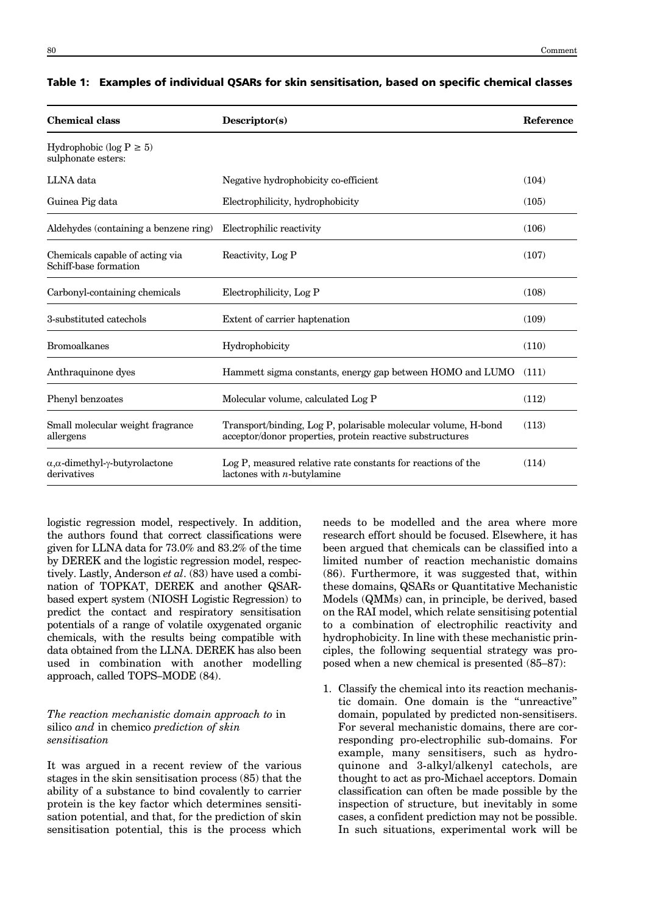| <b>Chemical class</b>                                              | Descriptor(s)                                                                                                               | <b>Reference</b> |
|--------------------------------------------------------------------|-----------------------------------------------------------------------------------------------------------------------------|------------------|
| Hydrophobic ( $log P \ge 5$ )<br>sulphonate esters:                |                                                                                                                             |                  |
| LLNA data                                                          | Negative hydrophobicity co-efficient                                                                                        | (104)            |
| Guinea Pig data                                                    | Electrophilicity, hydrophobicity                                                                                            | (105)            |
| Aldehydes (containing a benzene ring)                              | Electrophilic reactivity                                                                                                    | (106)            |
| Chemicals capable of acting via<br>Schiff-base formation           | Reactivity, Log P                                                                                                           | (107)            |
| Carbonyl-containing chemicals                                      | Electrophilicity, Log P                                                                                                     | (108)            |
| 3-substituted catechols                                            | Extent of carrier haptenation                                                                                               | (109)            |
| <b>Bromoalkanes</b>                                                | Hydrophobicity                                                                                                              | (110)            |
| Anthraquinone dyes                                                 | Hammett sigma constants, energy gap between HOMO and LUMO                                                                   | (111)            |
| Phenyl benzoates                                                   | Molecular volume, calculated Log P                                                                                          | (112)            |
| Small molecular weight fragrance<br>allergens                      | Transport/binding, Log P, polarisable molecular volume, H-bond<br>acceptor/donor properties, protein reactive substructures | (113)            |
| $\alpha, \alpha$ -dimethyl- $\gamma$ -butyrolactone<br>derivatives | Log P, measured relative rate constants for reactions of the<br>lactones with $n$ -butylamine                               | (114)            |

#### Table 1: Examples of individual QSARs for skin sensitisation, based on specific chemical classes

logistic regression model, respectively. In addition, the authors found that correct classifications were given for LLNA data for 73.0% and 83.2% of the time by DEREK and the logistic regression model, respectively. Lastly, Anderson *et al*. (83) have used a combination of TOPKAT, DEREK and another QSARbased expert system (NIOSH Logistic Regression) to predict the contact and respiratory sensitisation potentials of a range of volatile oxygenated organic chemicals, with the results being compatible with data obtained from the LLNA. DEREK has also been used in combination with another modelling approach, called TOPS–MODE (84).

#### *The reaction mechanistic domain approach to* in silico *and* in chemico *prediction of skin sensitisation*

It was argued in a recent review of the various stages in the skin sensitisation process (85) that the ability of a substance to bind covalently to carrier protein is the key factor which determines sensitisation potential, and that, for the prediction of skin sensitisation potential, this is the process which

needs to be modelled and the area where more research effort should be focused. Elsewhere, it has been argued that chemicals can be classified into a limited number of reaction mechanistic domains (86). Furthermore, it was suggested that, within these domains, QSARs or Quantitative Mechanistic Models (QMMs) can, in principle, be derived, based on the RAI model, which relate sensitising potential to a combination of electrophilic reactivity and hydrophobicity. In line with these mechanistic principles, the following sequential strategy was proposed when a new chemical is presented (85–87):

1. Classify the chemical into its reaction mechanistic domain. One domain is the "unreactive" domain, populated by predicted non-sensitisers. For several mechanistic domains, there are corresponding pro-electrophilic sub-domains. For example, many sensitisers, such as hydroquinone and 3-alkyl/alkenyl catechols, are thought to act as pro-Michael acceptors. Domain classification can often be made possible by the inspection of structure, but inevitably in some cases, a confident prediction may not be possible. In such situations, experimental work will be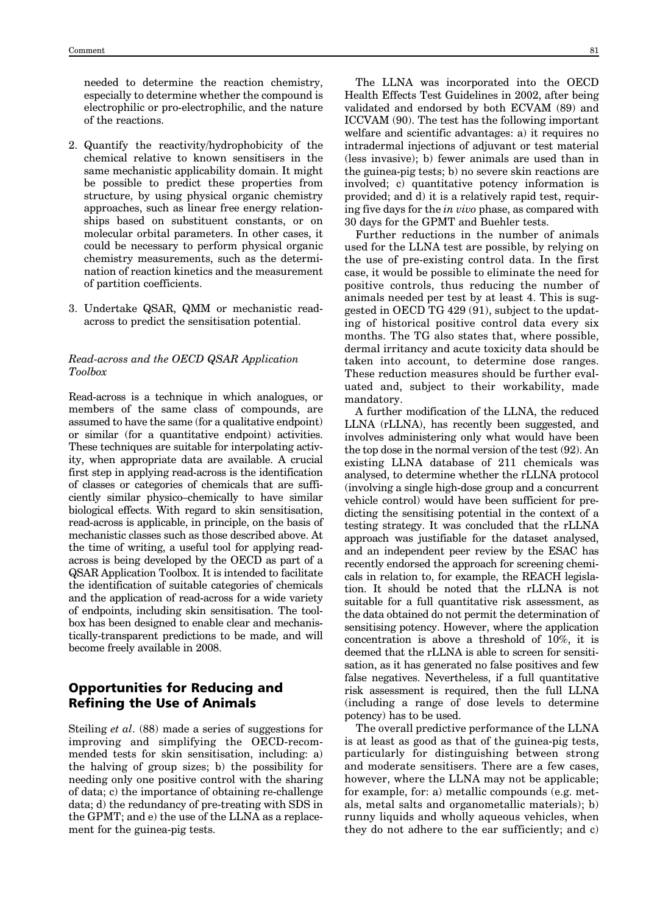needed to determine the reaction chemistry, especially to determine whether the compound is electrophilic or pro-electrophilic, and the nature of the reactions.

- 2. Quantify the reactivity/hydrophobicity of the chemical relative to known sensitisers in the same mechanistic applicability domain. It might be possible to predict these properties from structure, by using physical organic chemistry approaches, such as linear free energy relationships based on substituent constants, or on molecular orbital parameters. In other cases, it could be necessary to perform physical organic chemistry measurements, such as the determination of reaction kinetics and the measurement of partition coefficients.
- 3. Undertake QSAR, QMM or mechanistic readacross to predict the sensitisation potential.

#### *Read-across and the OECD QSAR Application Toolbox*

Read-across is a technique in which analogues, or members of the same class of compounds, are assumed to have the same (for a qualitative endpoint) or similar (for a quantitative endpoint) activities. These techniques are suitable for interpolating activity, when appropriate data are available. A crucial first step in applying read-across is the identification of classes or categories of chemicals that are sufficiently similar physico–chemically to have similar biological effects. With regard to skin sensitisation, read-across is applicable, in principle, on the basis of mechanistic classes such as those described above. At the time of writing, a useful tool for applying readacross is being developed by the OECD as part of a QSAR Application Toolbox. It is intended to facilitate the identification of suitable categories of chemicals and the application of read-across for a wide variety of endpoints, including skin sensitisation. The toolbox has been designed to enable clear and mechanistically-transparent predictions to be made, and will become freely available in 2008.

# Opportunities for Reducing and Refining the Use of Animals

Steiling *et al*. (88) made a series of suggestions for improving and simplifying the OECD-recommended tests for skin sensitisation, including: a) the halving of group sizes; b) the possibility for needing only one positive control with the sharing of data; c) the importance of obtaining re-challenge data; d) the redundancy of pre-treating with SDS in the GPMT; and e) the use of the LLNA as a replacement for the guinea-pig tests.

The LLNA was incorporated into the OECD Health Effects Test Guidelines in 2002, after being validated and endorsed by both ECVAM (89) and ICCVAM (90). The test has the following important welfare and scientific advantages: a) it requires no intradermal injections of adjuvant or test material (less invasive); b) fewer animals are used than in the guinea-pig tests; b) no severe skin reactions are involved; c) quantitative potency information is provided; and d) it is a relatively rapid test, requiring five days for the *in vivo* phase, as compared with 30 days for the GPMT and Buehler tests.

Further reductions in the number of animals used for the LLNA test are possible, by relying on the use of pre-existing control data. In the first case, it would be possible to eliminate the need for positive controls, thus reducing the number of animals needed per test by at least 4. This is suggested in OECD TG 429 (91), subject to the updating of historical positive control data every six months. The TG also states that, where possible, dermal irritancy and acute toxicity data should be taken into account, to determine dose ranges. These reduction measures should be further evaluated and, subject to their workability, made mandatory.

A further modification of the LLNA, the reduced LLNA (rLLNA), has recently been suggested, and involves administering only what would have been the top dose in the normal version of the test (92). An existing LLNA database of 211 chemicals was analysed, to determine whether the rLLNA protocol (involving a single high-dose group and a concurrent vehicle control) would have been sufficient for predicting the sensitising potential in the context of a testing strategy. It was concluded that the rLLNA approach was justifiable for the dataset analysed, and an independent peer review by the ESAC has recently endorsed the approach for screening chemicals in relation to, for example, the REACH legislation. It should be noted that the rLLNA is not suitable for a full quantitative risk assessment, as the data obtained do not permit the determination of sensitising potency. However, where the application concentration is above a threshold of 10%, it is deemed that the rLLNA is able to screen for sensitisation, as it has generated no false positives and few false negatives. Nevertheless, if a full quantitative risk assessment is required, then the full LLNA (including a range of dose levels to determine potency) has to be used.

The overall predictive performance of the LLNA is at least as good as that of the guinea-pig tests, particularly for distinguishing between strong and moderate sensitisers. There are a few cases, however, where the LLNA may not be applicable; for example, for: a) metallic compounds (e.g. metals, metal salts and organometallic materials); b) runny liquids and wholly aqueous vehicles, when they do not adhere to the ear sufficiently; and c)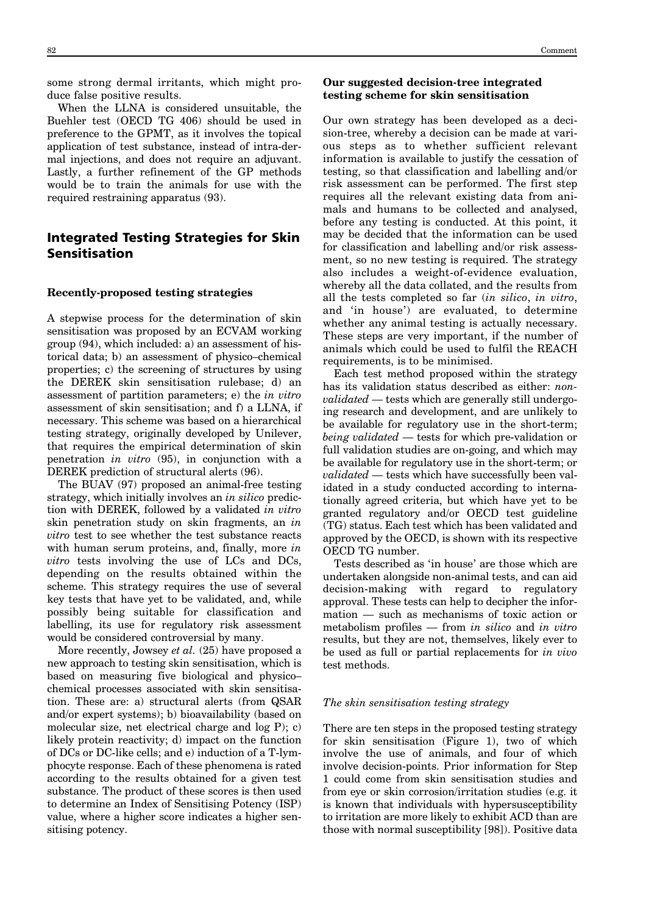some strong dermal irritants, which might produce false positive results.

When the LLNA is considered unsuitable, the Buehler test (OECD TG 406) should be used in preference to the GPMT, as it involves the topical application of test substance, instead of intra-dermal injections, and does not require an adjuvant. Lastly, a further refinement of the GP methods would be to train the animals for use with the required restraining apparatus (93).

# Integrated Testing Strategies for Skin Sensitisation

#### **Recently-proposed testing strategies**

A stepwise process for the determination of skin sensitisation was proposed by an ECVAM working group (94), which included: a) an assessment of historical data; b) an assessment of physico–chemical properties; c) the screening of structures by using the DEREK skin sensitisation rulebase; d) an assessment of partition parameters; e) the *in vitro* assessment of skin sensitisation; and f) a LLNA, if necessary. This scheme was based on a hierarchical testing strategy, originally developed by Unilever, that requires the empirical determination of skin penetration *in vitro* (95), in conjunction with a DEREK prediction of structural alerts (96).

The BUAV (97) proposed an animal-free testing strategy, which initially involves an *in silico* prediction with DEREK, followed by a validated *in vitro* skin penetration study on skin fragments, an *in vitro* test to see whether the test substance reacts with human serum proteins, and, finally, more *in vitro* tests involving the use of LCs and DCs, depending on the results obtained within the scheme. This strategy requires the use of several key tests that have yet to be validated, and, while possibly being suitable for classification and labelling, its use for regulatory risk assessment would be considered controversial by many.

More recently, Jowsey *et al.* (25) have proposed a new approach to testing skin sensitisation, which is based on measuring five biological and physico– chemical processes associated with skin sensitisation. These are: a) structural alerts (from QSAR and/or expert systems); b) bioavailability (based on molecular size, net electrical charge and log P); c) likely protein reactivity; d) impact on the function of DCs or DC-like cells; and e) induction of a T-lymphocyte response. Each of these phenomena is rated according to the results obtained for a given test substance. The product of these scores is then used to determine an Index of Sensitising Potency (ISP) value, where a higher score indicates a higher sensitising potency.

#### **Our suggested decision-tree integrated testing scheme for skin sensitisation**

Our own strategy has been developed as a decision-tree, whereby a decision can be made at various steps as to whether sufficient relevant information is available to justify the cessation of testing, so that classification and labelling and/or risk assessment can be performed. The first step requires all the relevant existing data from animals and humans to be collected and analysed, before any testing is conducted. At this point, it may be decided that the information can be used for classification and labelling and/or risk assessment, so no new testing is required. The strategy also includes a weight-of-evidence evaluation, whereby all the data collated, and the results from all the tests completed so far (*in silico*, *in vitro*, and 'in house') are evaluated, to determine whether any animal testing is actually necessary. These steps are very important, if the number of animals which could be used to fulfil the REACH requirements, is to be minimised.

Each test method proposed within the strategy has its validation status described as either: *nonvalidated* — tests which are generally still undergoing research and development, and are unlikely to be available for regulatory use in the short-term; *being validated* — tests for which pre-validation or full validation studies are on-going, and which may be available for regulatory use in the short-term; or *validated* — tests which have successfully been validated in a study conducted according to internationally agreed criteria, but which have yet to be granted regulatory and/or OECD test guideline (TG) status. Each test which has been validated and approved by the OECD, is shown with its respective OECD TG number.

Tests described as 'in house' are those which are undertaken alongside non-animal tests, and can aid decision-making with regard to regulatory approval. These tests can help to decipher the information — such as mechanisms of toxic action or metabolism profiles — from *in silico* and *in vitro* results, but they are not, themselves, likely ever to be used as full or partial replacements for *in vivo* test methods.

#### *The skin sensitisation testing strategy*

There are ten steps in the proposed testing strategy for skin sensitisation (Figure 1), two of which involve the use of animals, and four of which involve decision-points. Prior information for Step 1 could come from skin sensitisation studies and from eye or skin corrosion/irritation studies (e.g. it is known that individuals with hypersusceptibility to irritation are more likely to exhibit ACD than are those with normal susceptibility [98]). Positive data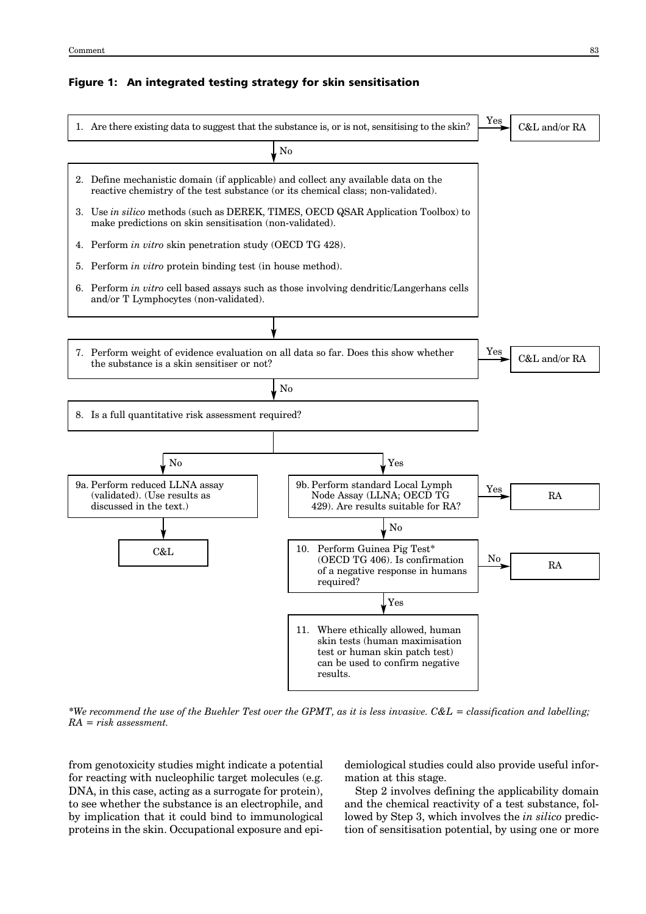#### Figure 1: An integrated testing strategy for skin sensitisation



*\*We recommend the use of the Buehler Test over the GPMT, as it is less invasive. C&L = classification and labelling; RA = risk assessment.*

from genotoxicity studies might indicate a potential for reacting with nucleophilic target molecules (e.g. DNA, in this case, acting as a surrogate for protein), to see whether the substance is an electrophile, and by implication that it could bind to immunological proteins in the skin. Occupational exposure and epidemiological studies could also provide useful information at this stage.

Step 2 involves defining the applicability domain and the chemical reactivity of a test substance, followed by Step 3, which involves the *in silico* prediction of sensitisation potential, by using one or more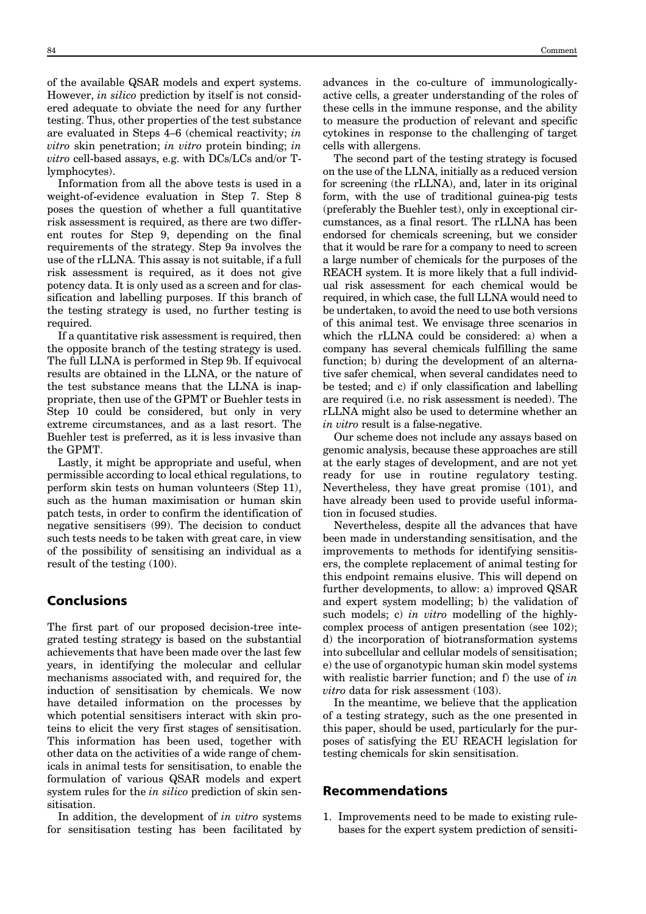of the available QSAR models and expert systems. However, *in silico* prediction by itself is not considered adequate to obviate the need for any further testing. Thus, other properties of the test substance are evaluated in Steps 4–6 (chemical reactivity; *in vitro* skin penetration; *in vitro* protein binding; *in vitro* cell-based assays, e.g. with DCs/LCs and/or Tlymphocytes).

Information from all the above tests is used in a weight-of-evidence evaluation in Step 7. Step 8 poses the question of whether a full quantitative risk assessment is required, as there are two different routes for Step 9, depending on the final requirements of the strategy. Step 9a involves the use of the rLLNA. This assay is not suitable, if a full risk assessment is required, as it does not give potency data. It is only used as a screen and for classification and labelling purposes. If this branch of the testing strategy is used, no further testing is required.

If a quantitative risk assessment is required, then the opposite branch of the testing strategy is used. The full LLNA is performed in Step 9b. If equivocal results are obtained in the LLNA, or the nature of the test substance means that the LLNA is inappropriate, then use of the GPMT or Buehler tests in Step 10 could be considered, but only in very extreme circumstances, and as a last resort. The Buehler test is preferred, as it is less invasive than the GPMT.

Lastly, it might be appropriate and useful, when permissible according to local ethical regulations, to perform skin tests on human volunteers (Step 11), such as the human maximisation or human skin patch tests, in order to confirm the identification of negative sensitisers (99). The decision to conduct such tests needs to be taken with great care, in view of the possibility of sensitising an individual as a result of the testing (100).

# Conclusions

The first part of our proposed decision-tree integrated testing strategy is based on the substantial achievements that have been made over the last few years, in identifying the molecular and cellular mechanisms associated with, and required for, the induction of sensitisation by chemicals. We now have detailed information on the processes by which potential sensitisers interact with skin proteins to elicit the very first stages of sensitisation. This information has been used, together with other data on the activities of a wide range of chemicals in animal tests for sensitisation, to enable the formulation of various QSAR models and expert system rules for the *in silico* prediction of skin sensitisation.

In addition, the development of *in vitro* systems for sensitisation testing has been facilitated by advances in the co-culture of immunologicallyactive cells, a greater understanding of the roles of these cells in the immune response, and the ability to measure the production of relevant and specific cytokines in response to the challenging of target cells with allergens.

The second part of the testing strategy is focused on the use of the LLNA, initially as a reduced version for screening (the rLLNA), and, later in its original form, with the use of traditional guinea-pig tests (preferably the Buehler test), only in exceptional circumstances, as a final resort. The rLLNA has been endorsed for chemicals screening, but we consider that it would be rare for a company to need to screen a large number of chemicals for the purposes of the REACH system. It is more likely that a full individual risk assessment for each chemical would be required, in which case, the full LLNA would need to be undertaken, to avoid the need to use both versions of this animal test. We envisage three scenarios in which the rLLNA could be considered: a) when a company has several chemicals fulfilling the same function; b) during the development of an alternative safer chemical, when several candidates need to be tested; and c) if only classification and labelling are required (i.e. no risk assessment is needed). The rLLNA might also be used to determine whether an *in vitro* result is a false-negative.

Our scheme does not include any assays based on genomic analysis, because these approaches are still at the early stages of development, and are not yet ready for use in routine regulatory testing. Nevertheless, they have great promise (101), and have already been used to provide useful information in focused studies.

Nevertheless, despite all the advances that have been made in understanding sensitisation, and the improvements to methods for identifying sensitisers, the complete replacement of animal testing for this endpoint remains elusive. This will depend on further developments, to allow: a) improved QSAR and expert system modelling; b) the validation of such models; c) *in vitro* modelling of the highlycomplex process of antigen presentation (see 102); d) the incorporation of biotransformation systems into subcellular and cellular models of sensitisation; e) the use of organotypic human skin model systems with realistic barrier function; and f) the use of *in vitro* data for risk assessment (103).

In the meantime, we believe that the application of a testing strategy, such as the one presented in this paper, should be used, particularly for the purposes of satisfying the EU REACH legislation for testing chemicals for skin sensitisation.

## Recommendations

1. Improvements need to be made to existing rulebases for the expert system prediction of sensiti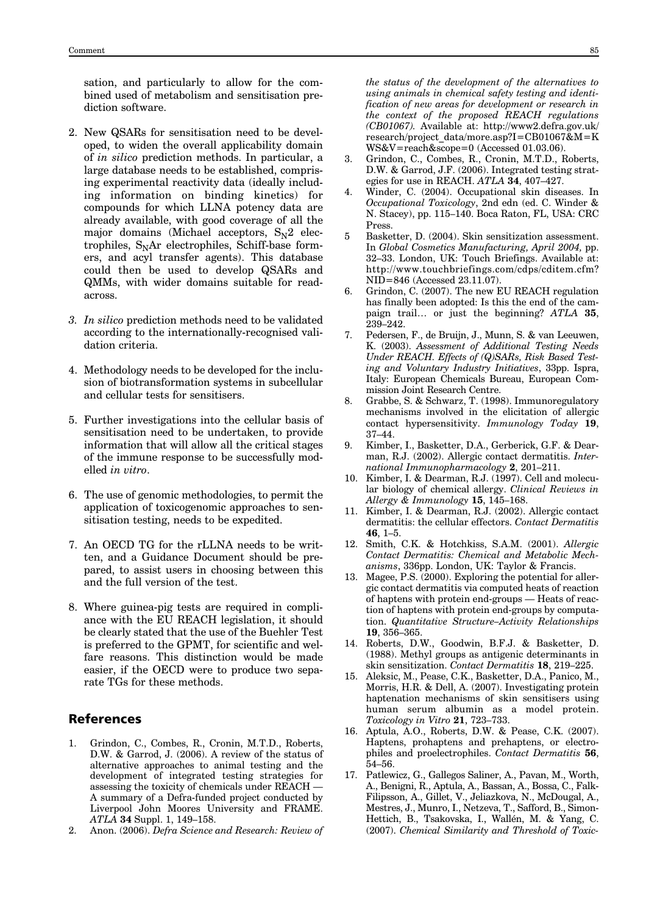sation, and particularly to allow for the combined used of metabolism and sensitisation prediction software.

- 2. New QSARs for sensitisation need to be developed, to widen the overall applicability domain of *in silico* prediction methods. In particular, a large database needs to be established, comprising experimental reactivity data (ideally including information on binding kinetics) for compounds for which LLNA potency data are already available, with good coverage of all the major domains (Michael acceptors,  $S_N2$  electrophiles,  $S_N$ Ar electrophiles, Schiff-base formers, and acyl transfer agents). This database could then be used to develop QSARs and QMMs, with wider domains suitable for readacross.
- *3. In silico* prediction methods need to be validated according to the internationally-recognised validation criteria.
- 4. Methodology needs to be developed for the inclusion of biotransformation systems in subcellular and cellular tests for sensitisers.
- 5. Further investigations into the cellular basis of sensitisation need to be undertaken, to provide information that will allow all the critical stages of the immune response to be successfully modelled *in vitro*.
- 6. The use of genomic methodologies, to permit the application of toxicogenomic approaches to sensitisation testing, needs to be expedited.
- 7. An OECD TG for the rLLNA needs to be written, and a Guidance Document should be prepared, to assist users in choosing between this and the full version of the test.
- 8. Where guinea-pig tests are required in compliance with the EU REACH legislation, it should be clearly stated that the use of the Buehler Test is preferred to the GPMT, for scientific and welfare reasons. This distinction would be made easier, if the OECD were to produce two separate TGs for these methods.

# References

- 1. Grindon, C., Combes, R., Cronin, M.T.D., Roberts, D.W. & Garrod, J. (2006). A review of the status of alternative approaches to animal testing and the development of integrated testing strategies for assessing the toxicity of chemicals under REACH — A summary of a Defra-funded project conducted by Liverpool John Moores University and FRAME. *ATLA* **34** Suppl. 1, 149–158.
- 2. Anon. (2006). *Defra Science and Research: Review of*

*the status of the development of the alternatives to using animals in chemical safety testing and identification of new areas for development or research in the context of the proposed REACH regulations (CB01067).* Available at: http://www2.defra.gov.uk/ research/project\_data/more.asp?I=CB01067&M=K WS&V=reach&scope=0 (Accessed 01.03.06).

- 3. Grindon, C., Combes, R., Cronin, M.T.D., Roberts, D.W. & Garrod, J.F. (2006). Integrated testing strategies for use in REACH. *ATLA* **34**, 407–427.
- Winder, C. (2004). Occupational skin diseases. In *Occ upational Toxicology*, 2nd edn (ed. C. Winder & N. Stacey), pp. 115–140. Boca Raton, FL, USA: CRC Press.
- 5 Basketter, D. (2004). Skin sensitization assessment. In *Global Cosmetics Manufacturing, April 2004,* pp. 32–33. London, UK: Touch Briefings. Available at: http://www.touchbriefings.com/cdps/cditem.cfm? NID=846 (Accessed 23.11.07).
- 6. Grindon, C. (2007). The new EU REACH regulation has finally been adopted: Is this the end of the campaign trail… or just the beginning? *ATLA* **35**, 239–242.
- 7. Pedersen, F., de Bruijn, J., Munn, S. & van Leeuwen, K. (2003). *Assessment of Additional Testing Needs Under REACH. Effects of (Q)SARs, Risk Based Test ing and Voluntary Industry Initiatives*, 33pp. Ispra, Italy: European Chemicals Bureau, European Commission Joint Research Centre.
- 8. Grabbe, S. & Schwarz, T. (1998). Immunoregulatory mechanisms involved in the elicitation of allergic contact hypersensitivity. *Immunology Today* **19**, 37–44.
- 9. Kimber, I., Basketter, D.A., Gerberick, G.F. & Dear man, R.J. (2002). Allergic contact dermatitis. *Inter national Immunopharmacology* **2**, 201–211.
- 10. Kimber, I. & Dearman, R.J. (1997). Cell and molecular biology of chemical allergy. *Clinical Reviews in Allergy & Immunology* **15**, 145–168.
- 11. Kimber, I. & Dearman, R.J. (2002). Allergic contact dermatitis: the cellular effectors. *Contact Dermatitis* **46**, 1–5.
- 12. Smith, C.K. & Hotchkiss, S.A.M. (2001). *Allergic Contact Dermatitis: Chemical and Metabolic Mech an isms*, 336pp. London, UK: Taylor & Francis.
- 13. Magee, P.S. (2000). Exploring the potential for allergic contact dermatitis via computed heats of reaction of haptens with protein end-groups — Heats of reaction of haptens with protein end-groups by computation. *Quantitative Structure–Activity Relationships* **19**, 356–365.
- 14. Roberts, D.W., Goodwin, B.F.J. & Basketter, D. (1988). Methyl groups as antigenic determinants in skin sensitization. *Contact Dermatitis* **18**, 219–225.
- 15. Aleksic, M., Pease, C.K., Basketter, D.A., Panico, M., Morris, H.R. & Dell, A. (2007). Investigating protein haptenation mechanisms of skin sensitisers using human serum albumin as a model protein. *Toxicology in Vitro* **21**, 723–733.
- 16. Aptula, A.O., Roberts, D.W. & Pease, C.K. (2007). Haptens, prohaptens and prehaptens, or electrophiles and proelectrophiles. *Contact Dermatitis* **56**, 54–56.
- 17. Patlewicz, G., Gallegos Saliner, A., Pavan, M., Worth, A., Benigni, R., Aptula, A., Bassan, A., Bossa, C., Falk-Filipsson, A., Gillet, V., Jeliazkova, N., McDougal, A., Mestres, J., Munro, I., Netzeva, T., Safford, B., Simon-Hettich, B., Tsakovska, I., Wallén, M. & Yang, C. (2007). *Chemical Similarity and Threshold of Toxic-*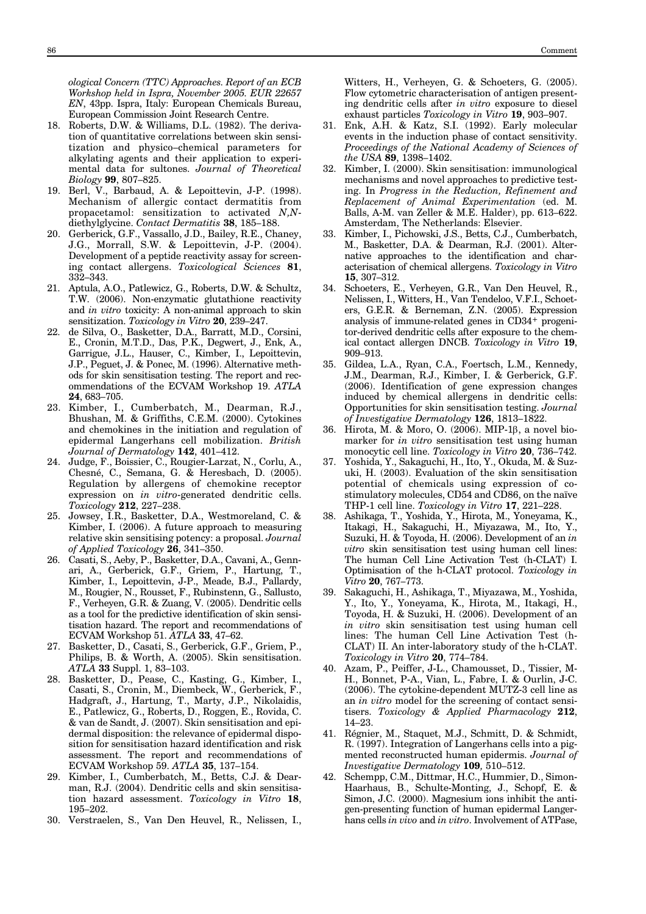*ological Concern (TTC) Approaches. Report of an ECB Workshop held in Ispra, November 2005. EUR 22657 EN*, 43pp. Ispra, Italy: European Chemicals Bureau, European Commission Joint Research Centre.

- 18. Roberts, D.W. & Williams, D.L. (1982). The derivation of quantitative correlations between skin sensitization and physico–chemical parameters for alkylating agents and their application to experimental data for sultones. *Journal of Theoretical Biology* **99**, 807–825.
- 19. Berl, V., Barbaud, A. & Lepoittevin, J-P. (1998). Mechanism of allergic contact dermatitis from propacetamol: sensitization to activated *N,N*diethylglycine. *Contact Dermatitis* **38**, 185–188.
- 20. Gerberick, G.F., Vassallo, J.D., Bailey, R.E., Chaney, J.G., Morrall, S.W. & Lepoittevin, J-P. (2004). Development of a peptide reactivity assay for screening contact allergens. *Toxicological Sciences* **81**, 332–343.
- 21. Aptula, A.O., Patlewicz, G., Roberts, D.W. & Schultz, T.W. (2006). Non-enzymatic glutathione reactivity and *in vitro* toxicity: A non-animal approach to skin sensitization. *Toxicology in Vitro* **20**, 239–247.
- 22. de Silva, O., Basketter, D.A., Barratt, M.D., Corsini, E., Cronin, M.T.D., Das, P.K., Degwert, J., Enk, A., Garrigue, J.L., Hauser, C., Kimber, I., Lepoittevin, J.P., Peguet, J. & Ponec, M. (1996). Alternative methods for skin sensitisation testing. The report and recommendations of the ECVAM Workshop 19. *ATLA* **24**, 683–705.
- 23. Kimber, I., Cumberbatch, M., Dearman, R.J., Bhushan, M. & Griffiths, C.E.M. (2000). Cytokines and chemokines in the initiation and regulation of epidermal Langerhans cell mobilization. *British Journal of Dermatology* **142**, 401–412.
- 24. Judge, F., Boissier, C., Rougier-Larzat, N., Corlu, A., Chesné, C., Semana, G. & Heresbach, D. (2005). Regulation by allergens of chemokine receptor expression on *in vitro*-generated dendritic cells. *Toxicology* **212**, 227–238.
- 25. Jowsey, I.R., Basketter, D.A., Westmoreland, C. & Kimber, I. (2006). A future approach to measuring relative skin sensitising potency: a proposal. *Journal of Applied Toxicology* **26**, 341–350.
- 26. Casati, S., Aeby, P., Basketter, D.A., Cavani, A., Genn ari, A., Gerberick, G.F., Griem, P., Hartung, T., Kimber, I., Lepoittevin, J-P., Meade, B.J., Pallardy, M., Rougier, N., Rousset, F., Rubinstenn, G., Sallusto, F., Verheyen, G.R. & Zuang, V. (2005). Dendritic cells as a tool for the predictive identification of skin sensitisation hazard. The report and recommendations of ECVAM Workshop 51. *ATLA* **33**, 47–62.
- 27. Basketter, D., Casati, S., Gerberick, G.F., Griem, P., Philips, B. & Worth, A. (2005). Skin sensitisation. *ATLA* **33** Suppl. 1, 83–103.
- 28. Basketter, D., Pease, C., Kasting, G., Kimber, I., Casati, S., Cronin, M., Diembeck, W., Gerberick, F., Hadgraft, J., Hartung, T., Marty, J.P., Nikolaidis, E., Patlewicz, G., Roberts, D., Roggen, E., Rovida, C. & van de Sandt, J. (2007). Skin sensitisation and epidermal disposition: the relevance of epidermal disposition for sensitisation hazard identification and risk assessment. The report and recommendations of ECVAM Workshop 59. *ATLA* **35**, 137–154.
- 29. Kimber, I., Cumberbatch, M., Betts, C.J. & Dear man, R.J. (2004). Dendritic cells and skin sensitisation hazard assessment. *Toxicology in Vitro* **18**, 195–202.
- 30. Verstraelen, S., Van Den Heuvel, R., Nelissen, I.,

Witters, H., Verheyen, G. & Schoeters, G. (2005). Flow cytometric characterisation of antigen presenting dendritic cells after *in vitro* exposure to diesel exhaust particles *Toxicology in Vitro* **19**, 903–907.

- 31. Enk, A.H. & Katz, S.I. (1992). Early molecular events in the induction phase of contact sensitivity. *Proceedings of the National Academy of Sciences of the USA* **89**, 1398–1402.
- 32. Kimber, I. (2000). Skin sensitisation: immunological mechanisms and novel approaches to predictive testing. In *Progress in the Reduction, Refinement and Replacement of Animal Experimentation* (ed. M. Balls, A-M. van Zeller & M.E. Halder), pp. 613–622. Amsterdam, The Netherlands: Elsevier.
- 33. Kimber, I., Pichowski, J.S., Betts, C.J., Cumberbatch, M., Basketter, D.A. & Dearman, R.J. (2001). Alter native approaches to the identification and characterisation of chemical allergens. *Toxicology in Vitro* **15**, 307–312.
- 34. Schoeters, E., Verheyen, G.R., Van Den Heuvel, R., Nelissen, I., Witters, H., Van Tendeloo, V.F.I., Schoet ers, G.E.R. & Berneman, Z.N. (2005). Expression analysis of immune-related genes in CD34+ progenitor-derived dendritic cells after exposure to the chemical contact allergen DNCB. *Toxicology in Vitro* **19**, 909–913.
- 35. Gildea, L.A., Ryan, C.A., Foertsch, L.M., Kennedy, J.M., Dearman, R.J., Kimber, I. & Gerberick, G.F. (2006). Identification of gene expression changes induced by chemical allergens in dendritic cells: Opportunities for skin sensitisation testing. *Journal of Investigative Dermatology* **126**, 1813–1822.
- 36. Hirota, M. & Moro, O. (2006). MIP-1β, a novel biomarker for *in vitro* sensitisation test using human monocytic cell line. *Toxicology in Vitro* **20**, 736–742.
- 37. Yoshida, Y., Sakaguchi, H., Ito, Y., Okuda, M. & Suz uki, H. (2003). Evaluation of the skin sensitisation potential of chemicals using expression of costimulatory molecules, CD54 and CD86, on the naïve THP-1 cell line. *Toxicology in Vitro* **17**, 221–228.
- 38. Ashikaga, T., Yoshida, Y., Hirota, M., Yoneyama, K., Itakagi, H., Sakaguchi, H., Miyazawa, M., Ito, Y., Suzuki, H. & Toyoda, H. (2006). Development of an *in vitro* skin sensitisation test using human cell lines: The human Cell Line Activation Test (h-CLAT) I. Optimisation of the h-CLAT protocol. *Toxicology in Vitro* **20**, 767–773.
- 39. Sakaguchi, H., Ashikaga, T., Miyazawa, M., Yoshida, Y., Ito, Y., Yoneyama, K., Hirota, M., Itakagi, H., Toyoda, H. & Suzuki, H. (2006). Development of an *in vitro* skin sensitisation test using human cell lines: The human Cell Line Activation Test (h-CLAT) II. An inter-laboratory study of the h-CLAT. *Toxicology in Vitro* **20**, 774–784.
- 40. Azam, P., Peiffer, J-L., Chamousset, D., Tissier, M-H., Bonnet, P-A., Vian, L., Fabre, I. & Ourlin, J-C. (2006). The cytokine-dependent MUTZ-3 cell line as an *in vitro* model for the screening of contact sensitisers. *Toxicology & Applied Pharmacology* **212**, 14–23.
- 41. Régnier, M., Staquet, M.J., Schmitt, D. & Schmidt, R. (1997). Integration of Langerhans cells into a pigmented reconstructed human epidermis. *Journal of Investigative Dermatology* **109***,* 510–512.
- 42. Schempp, C.M., Dittmar, H.C., Hummier, D., Simon-Haarhaus, B., Schulte-Monting, J., Schopf, E. & Simon, J.C. (2000). Magnesium ions inhibit the antigen-presenting function of human epidermal Langer hans cells *in vivo* and *in vitro*. Involvement of ATPase,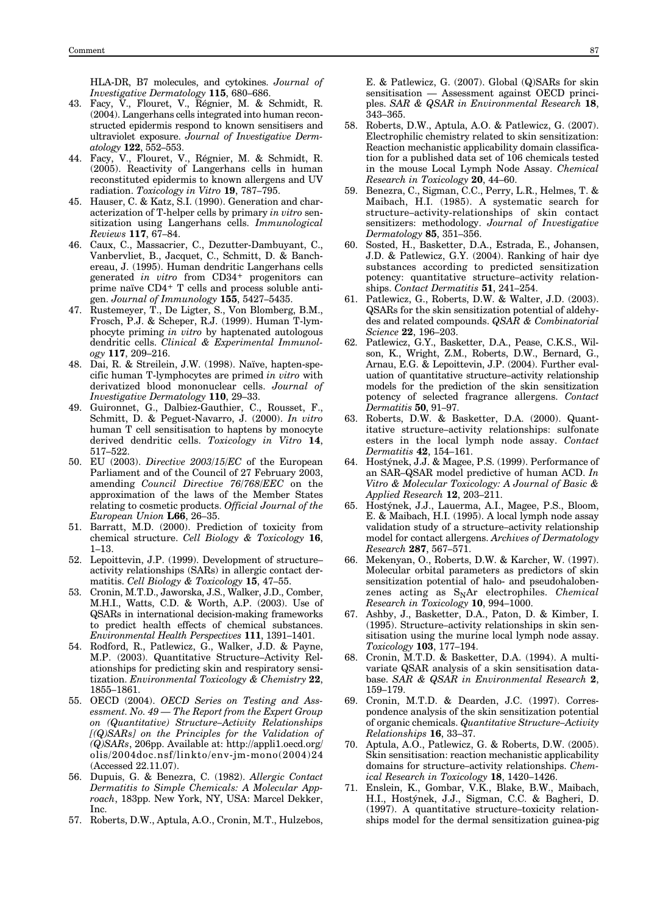HLA-DR, B7 molecules, and cytokines. *Journal of Investigative Dermatology* **115**, 680–686.

- 43. Facy, V., Flouret, V., Régnier, M. & Schmidt, R. (2004). Langerhans cells integrated into human reconstructed epidermis respond to known sensitisers and ultraviolet exposure. *Journal of Investigative Derm atology* **122**, 552–553.
- 44. Facy, V., Flouret, V., Régnier, M. & Schmidt, R. (2005). Reactivity of Langerhans cells in human reconstituted epidermis to known allergens and UV radiation. *Toxicology in Vitro* **19**, 787–795.
- 45. Hauser, C. & Katz, S.I. (1990). Generation and characterization of T-helper cells by primary *in vitro* sensitization using Langerhans cells. *Immunological Reviews* **117**, 67–84.
- 46. Caux, C., Massacrier, C., Dezutter-Dambuyant, C., Vanbervliet, B., Jacquet, C., Schmitt, D. & Banchereau, J. (1995). Human dendritic Langerhans cells generated *in vitro* from CD34+ progenitors can prime naïve CD4+ T cells and process soluble antigen. *Journal of Immunology* **155**, 5427–5435.
- 47. Rustemeyer, T., De Ligter, S., Von Blomberg, B.M., Frosch, P.J. & Scheper, R.J. (1999). Human T-lymphocyte priming *in vitro* by haptenated autologous dendritic cells. *Clinical & Experimental Immunol ogy* **117**, 209–216.
- 48. Dai, R. & Streilein, J.W. (1998). Naïve, hapten-specific human T-lymphocytes are primed *in vitro* with derivatized blood mononuclear cells. *Journal of Investigative Dermatology* **110**, 29–33.
- 49. Guironnet, G., Dalbiez-Gauthier, C., Rousset, F., Schmitt, D. & Peguet-Navarro, J. (2000). *In vitro* human T cell sensitisation to haptens by monocyte derived dendritic cells. *Toxicology in Vitro* **14**, 517–522.
- 50. EU (2003). *Directive 2003/15/EC* of the European Parliament and of the Council of 27 February 2003, amending *Council Directive 76/768/EEC* on the approximation of the laws of the Member States relating to cosmetic products. *Official Journal of the European Union* **L66**, 26–35.
- 51. Barratt, M.D. (2000). Prediction of toxicity from chemical structure. *Cell Biology & Toxicology* **16**, 1–13.
- 52. Lepoittevin, J.P. (1999). Development of structure– activity relationships (SARs) in allergic contact dermatitis. *Cell Biology & Toxicology* **15**, 47–55.
- 53. Cronin, M.T.D., Jaworska, J.S., Walker, J.D., Comber, M.H.I., Watts, C.D. & Worth, A.P. (2003). Use of QSARs in international decision-making frameworks to predict health effects of chemical substances. *Environmental Health Perspectives* **111**, 1391–1401.
- 54. Rodford, R., Patlewicz, G., Walker, J.D. & Payne, M.P. (2003). Quantitative Structure–Activity Relation ships for predicting skin and respiratory sensitization. *Environmental Toxicology & Chemistry* **22**, 1855–1861.
- 55. OECD (2004). *OECD Series on Testing and Ass essment. No. 49 — The Report from the Expert Group on (Quantitative) Structure–Activity Relationships [(Q)SARs] on the Principles for the Validation of (Q)SARs*, 206pp. Available at: http://appli1.oecd.org/ olis/2004doc.nsf/linkto/env-jm-mono(2004)24 (Accessed 22.11.07).
- 56. Dupuis, G. & Benezra, C. (1982). *Allergic Contact Dermatitis to Simple Chemicals: A Molecular App roach*, 183pp. New York, NY, USA: Marcel Dekker, Inc.
- 57. Roberts, D.W., Aptula, A.O., Cronin, M.T., Hulzebos,

E. & Patlewicz, G. (2007). Global (Q)SARs for skin sensitisation — Assessment against OECD principles. *SAR & QSAR in Environmental Research* **18**, 343–365.

- 58. Roberts, D.W., Aptula, A.O. & Patlewicz, G. (2007). Electrophilic chemistry related to skin sensitization: Reaction mechanistic applicability domain classification for a published data set of 106 chemicals tested in the mouse Local Lymph Node Assay. *Chemical Research in Toxicology* **20**, 44–60.
- 59. Benezra, C., Sigman, C.C., Perry, L.R., Helmes, T. & Maibach, H.I. (1985). A systematic search for structure–activity-relationships of skin contact sensitizers: methodology. *Journal of Investigative Derm atology* **85**, 351–356.
- 60. Sosted, H., Basketter, D.A., Estrada, E., Johansen, J.D. & Patlewicz, G.Y. (2004). Ranking of hair dye substances according to predicted sensitization potency: quantitative structure–activity relationships. *Contact Dermatitis* **51**, 241–254.
- 61. Patlewicz, G., Roberts, D.W. & Walter, J.D. (2003). QSARs for the skin sensitization potential of aldehydes and related compounds. *QSAR & Combinatorial Science* **22**, 196–203.
- 62. Patlewicz, G.Y., Basketter, D.A., Pease, C.K.S., Wil son, K., Wright, Z.M., Roberts, D.W., Bernard, G., Arnau, E.G. & Lepoittevin, J.P. (2004). Further evaluation of quantitative structure–activity relationship models for the prediction of the skin sensitization potency of selected fragrance allergens. *Contact Dermatitis* **50**, 91–97.
- 63. Roberts, D.W. & Basketter, D.A. (2000). Quant itative structure–activity relationships: sulfonate esters in the local lymph node assay. *Contact Dermatitis* **42**, 154–161.
- 64. Hostýnek, J.J. & Magee, P.S. (1999). Performance of an SAR–QSAR model predictive of human ACD. *In Vitro & Molecular Toxicology: A Journal of Basic & Applied Research* **12**, 203–211.
- 65. Hostýnek, J.J., Lauerma, A.I., Magee, P.S., Bloom, E. & Maibach, H.I. (1995). A local lymph node assay validation study of a structure–activity relationship model for contact allergens. *Archives of Dermatology Research* **287**, 567–571.
- 66. Mekenyan, O., Roberts, D.W. & Karcher, W. (1997). Molecular orbital parameters as predictors of skin sensitization potential of halo- and pseudohalobenzenes acting as  $S<sub>N</sub>Ar$  electrophiles. *Chemical Research in Toxicology* **10**, 994–1000.
- 67. Ashby, J., Basketter, D.A., Paton, D. & Kimber, I. (1995). Structure–activity relationships in skin sensitisation using the murine local lymph node assay. *Toxicology* **103**, 177–194.
- 68. Cronin, M.T.D. & Basketter, D.A. (1994). A multivariate QSAR analysis of a skin sensitisation database. *SAR & QSAR in Environmental Research* **2**, 159–179.
- 69. Cronin, M.T.D. & Dearden, J.C. (1997). Correspondence analysis of the skin sensitization potential of organic chemicals. *Quantitative Structure–Activity Relationships* **16**, 33–37.
- 70. Aptula, A.O., Patlewicz, G. & Roberts, D.W. (2005). Skin sensitisation: reaction mechanistic applicability domains for structure–activity relationships. *Chem ical Research in Toxicology* **18**, 1420–1426.
- 71. Enslein, K., Gombar, V.K., Blake, B.W., Maibach, H.I., Hostýnek, J.J., Sigman, C.C. & Bagheri, D. (1997). A quantitative structure–toxicity relationships model for the dermal sensitization guinea-pig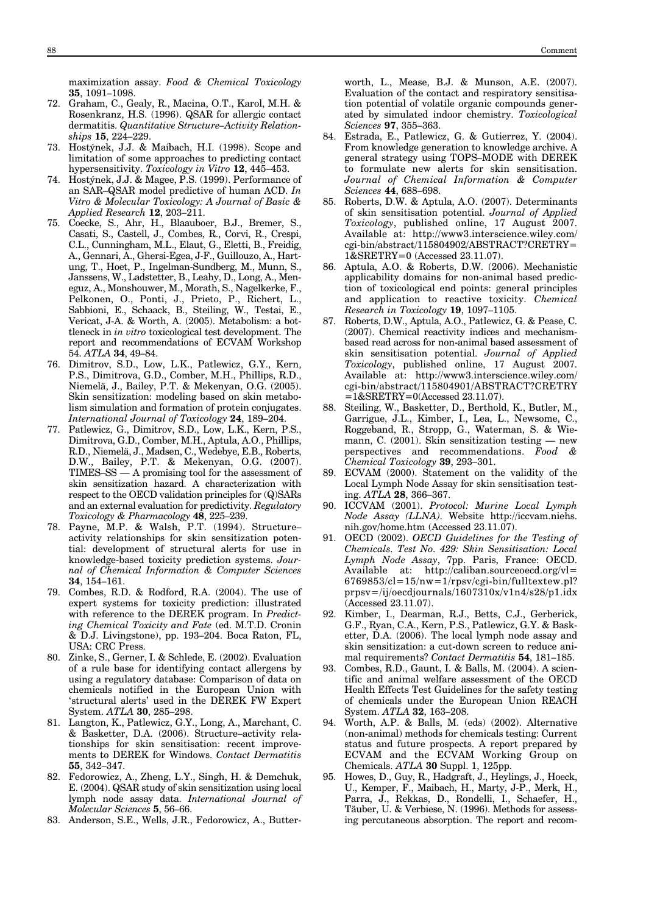maximization assay. *Food & Chemical Toxicology* **35**, 1091–1098.

- 72. Graham, C., Gealy, R., Macina, O.T., Karol, M.H. & Rosenkranz, H.S. (1996). QSAR for allergic contact dermatitis. *Quantitative Structure–Activity Relation ships* **15**, 224–229.
- 73. Hostýnek, J.J. & Maibach, H.I. (1998). Scope and limitation of some approaches to predicting contact hypersensitivity. *Toxicology in Vitro* **12**, 445–453.
- 74. Hostýnek, J.J. & Magee, P.S. (1999). Performance of an SAR–QSAR model predictive of human ACD. *In Vitro & Molecular Toxicology: A Journal of Basic & Applied Research* **12**, 203–211.
- 75. Coecke, S., Ahr, H., Blaauboer, B.J., Bremer, S., Casati, S., Castell, J., Combes, R., Corvi, R., Crespi, C.L., Cunningham, M.L., Elaut, G., Eletti, B., Freidig, A., Gennari, A., Ghersi-Egea, J-F., Guillouzo, A., Hart ung, T., Hoet, P., Ingelman-Sundberg, M., Munn, S., Janssens, W., Ladstetter, B., Leahy, D., Long, A., Meneguz, A., Monshouwer, M., Morath, S., Nagelkerke, F., Pelkonen, O., Ponti, J., Prieto, P., Richert, L., Sabbioni, E., Schaack, B., Steiling, W., Testai, E., Vericat, J-A. & Worth, A. (2005). Metabolism: a bottleneck in *in vitro* toxicological test development. The report and recommendations of ECVAM Workshop 54. *ATLA* **34**, 49–84.
- 76. Dimitrov, S.D., Low, L.K., Patlewicz, G.Y., Kern, P.S., Dimitrova, G.D., Comber, M.H., Phillips, R.D., Niemelä, J., Bailey, P.T. & Mekenyan, O.G. (2005). Skin sensitization: modeling based on skin metabolism simulation and formation of protein conjugates. *International Journal of Toxicology* **24**, 189–204.
- 77. Patlewicz, G., Dimitrov, S.D., Low, L.K., Kern, P.S., Dimitrova, G.D., Comber, M.H., Aptula, A.O., Phillips, R.D., Niemelä, J., Madsen, C., Wedebye, E.B., Roberts, D.W., Bailey, P.T. & Mekenyan, O.G. (2007). TIMES–SS — A promising tool for the assessment of skin sensitization hazard. A characterization with respect to the OECD validation principles for (Q)SARs and an external evaluation for predictivity. *Regulatory Toxicology & Pharmacology* **48**, 225–239.
- 78. Payne, M.P. & Walsh, P.T. (1994). Structure– activity relationships for skin sensitization potential: development of structural alerts for use in knowledge-based toxicity prediction systems. *Jour nal of Chemical Information & Computer Sciences* **34**, 154–161.
- 79. Combes, R.D. & Rodford, R.A. (2004). The use of expert systems for toxicity prediction: illustrated with reference to the DEREK program. In *Predict ing Chemical Toxicity and Fate* (ed. M.T.D. Cronin & D.J. Livingstone), pp. 193–204. Boca Raton, FL, USA: CRC Press.
- 80. Zinke, S., Gerner, I. & Schlede, E. (2002). Evaluation of a rule base for identifying contact allergens by using a regulatory database: Comparison of data on chemicals notified in the European Union with 'structural alerts' used in the DEREK FW Expert System. *ATLA* **30**, 285–298.
- 81. Langton, K., Patlewicz, G.Y., Long, A., Marchant, C. & Basketter, D.A. (2006). Structure–activity relationships for skin sensitisation: recent improvements to DEREK for Windows. *Contact Dermatitis* **55**, 342–347.
- 82. Fedorowicz, A., Zheng, L.Y., Singh, H. & Demchuk, E. (2004). QSAR study of skin sensitization using local lymph node assay data. *International Journal of Molecular Sciences* **5**, 56–66.
- 83. Anderson, S.E., Wells, J.R., Fedorowicz, A., Butter -

worth, L., Mease, B.J. & Munson, A.E. (2007). Evaluation of the contact and respiratory sensitisation potential of volatile organic compounds generated by simulated indoor chemistry. *Toxicological Sciences* **97**, 355–363.

- 84. Estrada, E., Patlewicz, G. & Gutierrez, Y. (2004). From knowledge generation to knowledge archive. A general strategy using TOPS–MODE with DEREK to formulate new alerts for skin sensitisation. *Journal of Chemical Information & Computer Sciences* **44**, 688–698.
- 85. Roberts, D.W. & Aptula, A.O. (2007). Determinants of skin sensitisation potential. *Journal of Applied Toxicology*, published online, 17 August 2007. Available at: http://www3.interscience.wiley.com/ cgi-bin/abstract/115804902/ABSTRACT?CRETRY= 1&SRETRY=0 (Accessed 23.11.07).
- 86. Aptula, A.O. & Roberts, D.W. (2006). Mechanistic applicability domains for non-animal based prediction of toxicological end points: general principles and application to reactive toxicity. *Chemical Research in Toxicology* **19**, 1097–1105.
- 87. Roberts, D.W., Aptula, A.O., Patlewicz, G. & Pease, C. (2007). Chemical reactivity indices and mechanismbased read across for non-animal based assessment of skin sensitisation potential. *Journal of Applied Toxicology*, published online, 17 August 2007. Available at: http://www3.interscience.wiley.com/ cgi-bin/abstract/115804901/ABSTRACT?CRETRY  $=1$ &SRETRY=0(Accessed 23.11.07).
- 88. Steiling, W., Basketter, D., Berthold, K., Butler, M., Garrigue, J.L., Kimber, I., Lea, L., Newsome, C., Roggeband, R., Stropp, G., Waterman, S. & Wie mann, C. (2001). Skin sensitization testing — new perspectives and recommendations. *Food & Chemical Toxicology* **39**, 293–301.
- 89. ECVAM (2000). Statement on the validity of the Local Lymph Node Assay for skin sensitisation testing. *ATLA* **28**, 366–367.
- 90. ICCVAM (2001). *Protocol: Murine Local Lymph Node Assay (LLNA)*. Website http://iccvam.niehs. nih.gov/home.htm (Accessed 23.11.07).
- 91. OECD (2002). *OECD Guidelines for the Testing of Chemicals. Test No. 429: Skin Sensitisation: Local Lymph Node Assay*, 7pp. Paris, France: OECD. Available at: http://caliban.sourceoecd.org/vl=  $6769853$ /cl=15/nw=1/rpsv/cgi-bin/fulltextew.pl? prpsv=/ij/oecdjournals/1607310x/v1n4/s28/p1.idx (Accessed 23.11.07).
- 92. Kimber, I., Dearman, R.J., Betts, C.J., Gerberick, G.F., Ryan, C.A., Kern, P.S., Patlewicz, G.Y. & Bask etter, D.A. (2006). The local lymph node assay and skin sensitization: a cut-down screen to reduce animal requirements? *Contact Dermatitis* **54**, 181–185.
- 93. Combes, R.D., Gaunt, I. & Balls, M. (2004). A scientific and animal welfare assessment of the OECD Health Effects Test Guidelines for the safety testing of chemicals under the European Union REACH System. *ATLA* **32**, 163–208.
- 94. Worth, A.P. & Balls, M. (eds) (2002). Alternative (non-animal) methods for chemicals testing: Current status and future prospects. A report prepared by ECVAM and the ECVAM Working Group on Chemicals. *ATLA* **30** Suppl. 1, 125pp.
- 95. Howes, D., Guy, R., Hadgraft, J., Heylings, J., Hoeck, U., Kemper, F., Maibach, H., Marty, J-P., Merk, H., Parra, J., Rekkas, D., Rondelli, I., Schaefer, H., Täuber, U. & Verbiese, N. (1996). Methods for assessing percutaneous absorption. The report and recom-